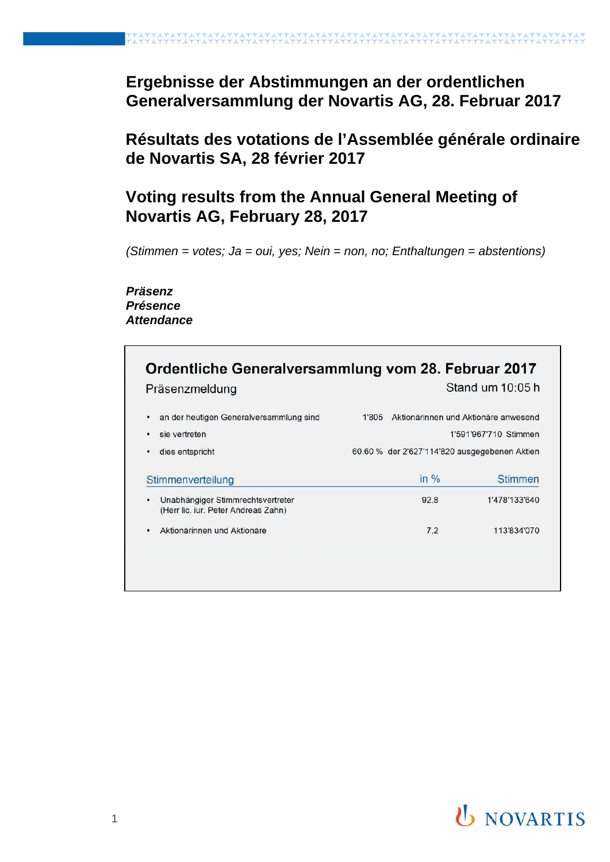# **Ergebnisse der Abstimmungen an der ordentlichen Generalversammlung der Novartis AG, 28. Februar 2017**

# **Résultats des votations de l'Assemblée générale ordinaire de Novartis SA, 28 février 2017**

# **Voting results from the Annual General Meeting of Novartis AG, February 28, 2017**

*(Stimmen = votes; Ja = oui, yes; Nein = non, no; Enthaltungen = abstentions)*

#### *Präsenz Présence Attendance*

|   | Ordentliche Generalversammlung vom 28. Februar 2017<br>Präsenzmeldung       |       |                                               | Stand um 10:05 h                                              |
|---|-----------------------------------------------------------------------------|-------|-----------------------------------------------|---------------------------------------------------------------|
| ٠ | an der heutigen Generalversammlung sind<br>sie vertreten<br>dies entspricht | 1'805 | 60.60 % der 2'627'114'820 ausgegebenen Aktien | Aktionärinnen und Aktionäre anwesend<br>1'591'967'710 Stimmen |
|   | Stimmenverteilung                                                           |       | in $%$                                        | <b>Stimmen</b>                                                |
| ٠ | Unabhängiger Stimmrechtsvertreter<br>(Herr lic. iur. Peter Andreas Zahn)    |       | 92.8                                          | 1'478'133'640                                                 |
|   | Aktionärinnen und Aktionäre                                                 |       | 7.2                                           | 113'834'070                                                   |
|   |                                                                             |       |                                               |                                                               |

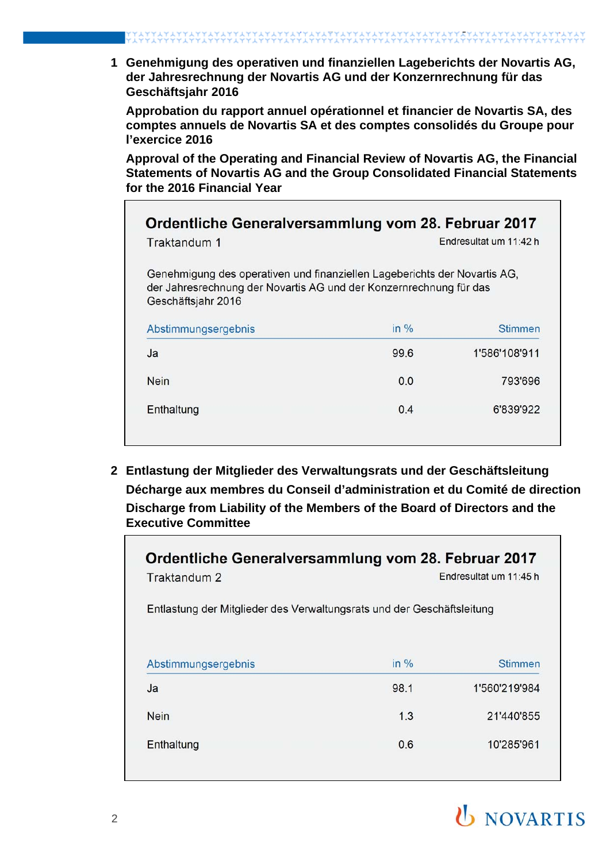**1 Genehmigung des operativen und finanziellen Lageberichts der Novartis AG, der Jahresrechnung der Novartis AG und der Konzernrechnung für das Geschäftsjahr 2016**

**Approbation du rapport annuel opérationnel et financier de Novartis SA, des comptes annuels de Novartis SA et des comptes consolidés du Groupe pour l'exercice 2016**

**Approval of the Operating and Financial Review of Novartis AG, the Financial Statements of Novartis AG and the Group Consolidated Financial Statements for the 2016 Financial Year**

| Genehmigung des operativen und finanziellen Lageberichts der Novartis AG, |                                                                    |
|---------------------------------------------------------------------------|--------------------------------------------------------------------|
| in $%$                                                                    | <b>Stimmen</b>                                                     |
| 99.6                                                                      | 1'586'108'911                                                      |
| 0.0                                                                       | 793'696                                                            |
| 0.4                                                                       | 6'839'922                                                          |
|                                                                           | der Jahresrechnung der Novartis AG und der Konzernrechnung für das |

**2 Entlastung der Mitglieder des Verwaltungsrats und der Geschäftsleitung Décharge aux membres du Conseil d'administration et du Comité de direction Discharge from Liability of the Members of the Board of Directors and the Executive Committee**

| Ordentliche Generalversammlung vom 28. Februar 2017<br>Traktandum 2<br>Entlastung der Mitglieder des Verwaltungsrats und der Geschäftsleitung |        | Endresultat um 11:45 h |  |
|-----------------------------------------------------------------------------------------------------------------------------------------------|--------|------------------------|--|
| Abstimmungsergebnis                                                                                                                           | in $%$ | Stimmen                |  |
|                                                                                                                                               |        |                        |  |
| Ja                                                                                                                                            | 98.1   | 1'560'219'984          |  |
| <b>Nein</b>                                                                                                                                   | 1.3    | 21'440'855             |  |

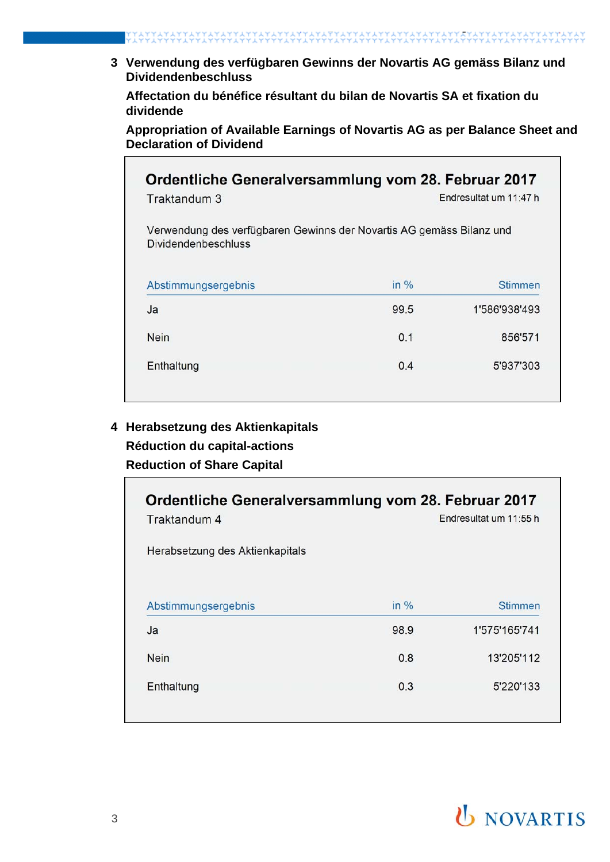**3 Verwendung des verfügbaren Gewinns der Novartis AG gemäss Bilanz und Dividendenbeschluss**

**Affectation du bénéfice résultant du bilan de Novartis SA et fixation du dividende**

**Appropriation of Available Earnings of Novartis AG as per Balance Sheet and Declaration of Dividend**

| Ordentliche Generalversammlung vom 28. Februar 2017<br>Traktandum 3                                |        | Endresultat um 11:47 h |
|----------------------------------------------------------------------------------------------------|--------|------------------------|
| Verwendung des verfügbaren Gewinns der Novartis AG gemäss Bilanz und<br><b>Dividendenbeschluss</b> |        |                        |
| Abstimmungsergebnis                                                                                | in $%$ | <b>Stimmen</b>         |
| Ja                                                                                                 | 99.5   | 1'586'938'493          |
| <b>Nein</b>                                                                                        | 0.1    | 856'571                |
| Enthaltung                                                                                         | 0.4    | 5'937'303              |

## **4 Herabsetzung des Aktienkapitals Réduction du capital-actions Reduction of Share Capital**

| Ordentliche Generalversammlung vom 28. Februar 2017<br>Traktandum 4<br>Herabsetzung des Aktienkapitals |        | Endresultat um 11:55 h |
|--------------------------------------------------------------------------------------------------------|--------|------------------------|
| Abstimmungsergebnis                                                                                    | in $%$ | <b>Stimmen</b>         |
| Ja                                                                                                     | 98.9   | 1'575'165'741          |
| <b>Nein</b>                                                                                            | 0.8    | 13'205'112             |
| Enthaltung                                                                                             | 0.3    | 5'220'133              |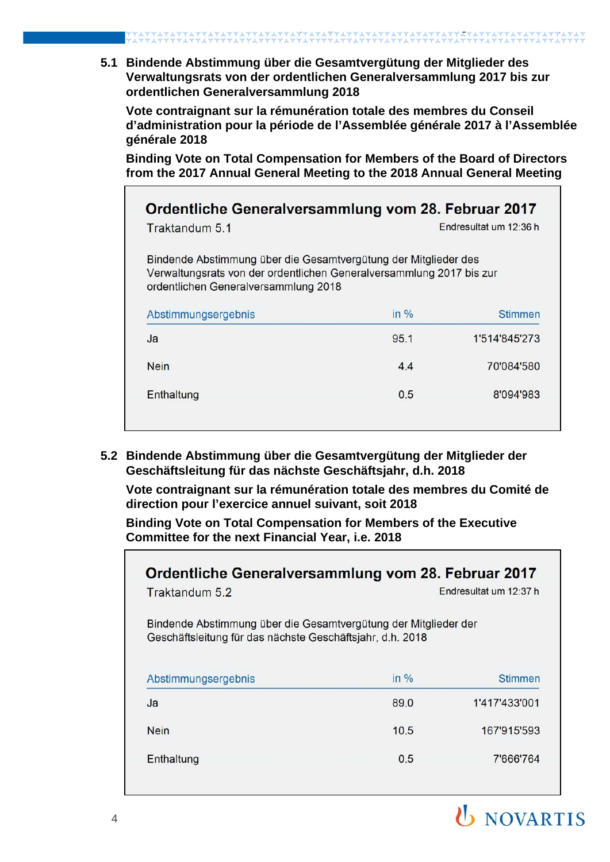**5.1 Bindende Abstimmung über die Gesamtvergütung der Mitglieder des Verwaltungsrats von der ordentlichen Generalversammlung 2017 bis zur ordentlichen Generalversammlung 2018**

**Vote contraignant sur la rémunération totale des membres du Conseil d'administration pour la période de l'Assemblée générale 2017 à l'Assemblée générale 2018**

**Binding Vote on Total Compensation for Members of the Board of Directors from the 2017 Annual General Meeting to the 2018 Annual General Meeting**

| Traktandum 5.1                                                                                                                                                                  | Endresultat um 12:36 h |                |  |
|---------------------------------------------------------------------------------------------------------------------------------------------------------------------------------|------------------------|----------------|--|
| Bindende Abstimmung über die Gesamtvergütung der Mitglieder des<br>Verwaltungsrats von der ordentlichen Generalversammlung 2017 bis zur<br>ordentlichen Generalversammlung 2018 |                        |                |  |
| Abstimmungsergebnis                                                                                                                                                             | in $%$                 | <b>Stimmen</b> |  |
| Ja                                                                                                                                                                              | 95.1                   | 1'514'845'273  |  |
|                                                                                                                                                                                 | 4.4                    | 70'084'580     |  |
| <b>Nein</b>                                                                                                                                                                     |                        |                |  |

**5.2 Bindende Abstimmung über die Gesamtvergütung der Mitglieder der Geschäftsleitung für das nächste Geschäftsjahr, d.h. 2018**

**Vote contraignant sur la rémunération totale des membres du Comité de direction pour l'exercice annuel suivant, soit 2018**

**Binding Vote on Total Compensation for Members of the Executive Committee for the next Financial Year, i.e. 2018**

| Ordentliche Generalversammlung vom 28. Februar 2017<br>Traktandum 5.2                                                        | Endresultat um 12:37 h |               |  |
|------------------------------------------------------------------------------------------------------------------------------|------------------------|---------------|--|
| Bindende Abstimmung über die Gesamtvergütung der Mitglieder der<br>Geschäftsleitung für das nächste Geschäftsjahr, d.h. 2018 |                        |               |  |
| Abstimmungsergebnis                                                                                                          | in $%$                 | Stimmen       |  |
| Ja                                                                                                                           | 89.0                   | 1'417'433'001 |  |
| <b>Nein</b>                                                                                                                  | 10.5                   | 167'915'593   |  |
| Enthaltung                                                                                                                   | 0.5                    | 7'666'764     |  |

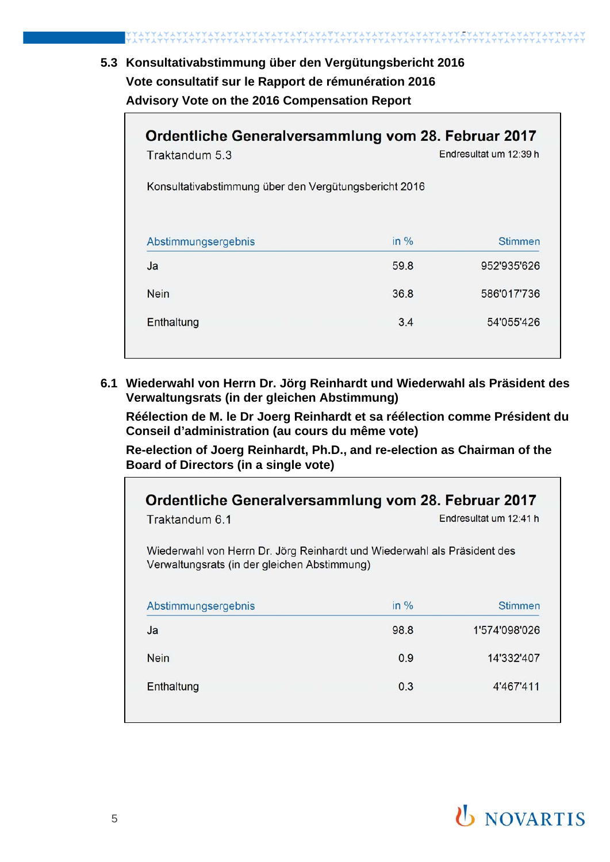## **5.3 Konsultativabstimmung über den Vergütungsbericht 2016 Vote consultatif sur le Rapport de rémunération 2016 Advisory Vote on the 2016 Compensation Report**

| Traktandum 5.3                                        | Endresultat um 12:39 h |             |  |  |
|-------------------------------------------------------|------------------------|-------------|--|--|
| Konsultativabstimmung über den Vergütungsbericht 2016 |                        |             |  |  |
| Abstimmungsergebnis                                   | in $%$                 | Stimmen     |  |  |
| Ja                                                    | 59.8                   | 952'935'626 |  |  |
|                                                       | 36.8                   | 586'017'736 |  |  |
| <b>Nein</b>                                           |                        |             |  |  |

**6.1 Wiederwahl von Herrn Dr. Jörg Reinhardt und Wiederwahl als Präsident des Verwaltungsrats (in der gleichen Abstimmung)**

**Réélection de M. le Dr Joerg Reinhardt et sa réélection comme Président du Conseil d'administration (au cours du même vote)**

**Re-election of Joerg Reinhardt, Ph.D., and re-election as Chairman of the Board of Directors (in a single vote)**

| Ordentliche Generalversammlung vom 28. Februar 2017<br>Endresultat um 12:41 h<br>Traktandum 6.1                          |         |  |  |
|--------------------------------------------------------------------------------------------------------------------------|---------|--|--|
| Wiederwahl von Herrn Dr. Jörg Reinhardt und Wiederwahl als Präsident des<br>Verwaltungsrats (in der gleichen Abstimmung) |         |  |  |
| in $%$                                                                                                                   | Stimmen |  |  |
| 98.8<br>1'574'098'026                                                                                                    |         |  |  |
| 0.9<br>14'332'407                                                                                                        |         |  |  |
| 0.3<br>4'467'411                                                                                                         |         |  |  |
|                                                                                                                          |         |  |  |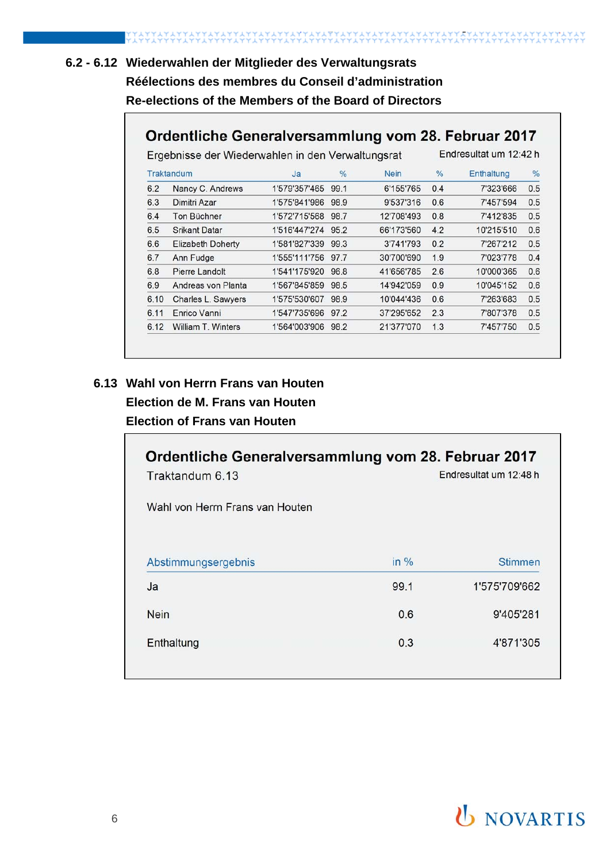# **6.2 - 6.12 Wiederwahlen der Mitglieder des Verwaltungsrats Réélections des membres du Conseil d'administration Re-elections of the Members of the Board of Directors**

## Ordentliche Generalversammlung vom 28. Februar 2017

Endresultat um 12:42 h

Ergebnisse der Wiederwahlen in den Verwaltungsrat

|      | Traktandum               | Ja                 | $\frac{0}{0}$ | <b>Nein</b> | $\%$ | Enthaltung | %   |
|------|--------------------------|--------------------|---------------|-------------|------|------------|-----|
| 6.2  | Nancy C. Andrews         | 1'579'357'465      | 99.1          | 6'155'765   | 0.4  | 7'323'666  | 0.5 |
| 6.3  | Dimitri Azar             | 1'575'841'986      | 98.9          | 9'537'316   | 0.6  | 7'457'594  | 0.5 |
| 6.4  | Ton Büchner              | 1'572'715'568      | 98.7          | 12'708'493  | 0.8  | 7'412'835  | 0.5 |
| 6.5  | <b>Srikant Datar</b>     | 1'516'447'274 95.2 |               | 66'173'560  | 4.2  | 10'215'510 | 0.6 |
| 6.6  | <b>Elizabeth Doherty</b> | 1'581'827'339      | 99.3          | 3'741'793   | 0.2  | 7'267'212  | 0.5 |
| 6.7  | Ann Fudge                | 1'555'111'756      | 97.7          | 30'700'690  | 1.9  | 7'023'778  | 0.4 |
| 6.8  | Pierre Landolt           | 1'541'175'920      | 96.8          | 41'656'785  | 2.6  | 10'000'365 | 0.6 |
| 6.9  | Andreas von Planta       | 1'567'845'859      | 98.5          | 14'942'059  | 0.9  | 10'045'152 | 0.6 |
| 6.10 | Charles L. Sawyers       | 1'575'530'607      | 98.9          | 10'044'436  | 0.6  | 7'263'683  | 0.5 |
| 6.11 | Enrico Vanni             | 1'547'735'696      | 97.2          | 37'295'652  | 2.3  | 7'807'378  | 0.5 |
| 6.12 | William T. Winters       | 1'564'003'906      | 98.2          | 21'377'070  | 1.3  | 7'457'750  | 0.5 |

#### **6.13 Wahl von Herrn Frans van Houten**

## **Election de M. Frans van Houten Election of Frans van Houten**

| Traktandum 6.13<br>Wahl von Herrn Frans van Houten | Ordentliche Generalversammlung vom 28. Februar 2017<br>Endresultat um 12:48 h |                |  |
|----------------------------------------------------|-------------------------------------------------------------------------------|----------------|--|
| Abstimmungsergebnis                                | in %                                                                          | <b>Stimmen</b> |  |
| Ja                                                 | 99.1                                                                          | 1'575'709'662  |  |
| <b>Nein</b>                                        | 0.6                                                                           | 9'405'281      |  |
| Enthaltung                                         | 0.3                                                                           | 4'871'305      |  |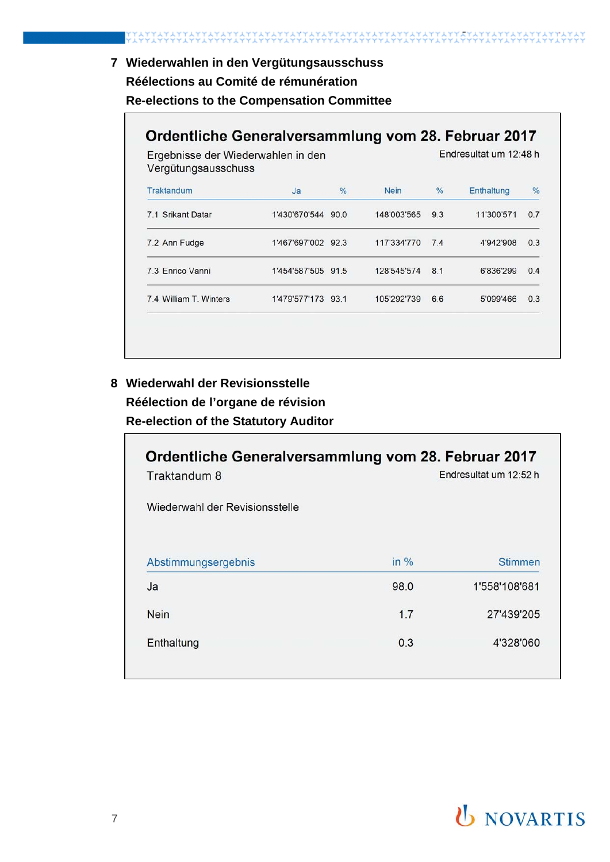### **7 Wiederwahlen in den Vergütungsausschuss**

#### **Réélections au Comité de rémunération**

IAIIAIAII

**Re-elections to the Compensation Committee** 

## Ordentliche Generalversammlung vom 28. Februar 2017

Endresultat um 12:48 h

Ergebnisse der Wiederwahlen in den Vergütungsausschuss

| Traktandum             | Ja                 | $\frac{0}{6}$ | <b>Nein</b> | %   | Enthaltung | $\frac{0}{6}$ |
|------------------------|--------------------|---------------|-------------|-----|------------|---------------|
| 7.1 Srikant Datar      | 1'430'670'544      | 90.0          | 148'003'565 | 9.3 | 11'300'571 | 0.7           |
| 7.2 Ann Fudge          | 1'467'697'002 92.3 |               | 117'334'770 | 7.4 | 4'942'908  | 0.3           |
| 7.3 Enrico Vanni       | 1'454'587'505 91.5 |               | 128'545'574 | 8.1 | 6'836'299  | 0.4           |
| 7.4 William T. Winters | 1'479'577'173 93.1 |               | 105'292'739 | 6.6 | 5'099'466  | 0.3           |

## **8 Wiederwahl der Revisionsstelle Réélection de l'organe de révision**

**Re-election of the Statutory Auditor**

| Ordentliche Generalversammlung vom 28. Februar 2017<br>Endresultat um 12:52 h<br>Traktandum 8<br>Wiederwahl der Revisionsstelle |      |               |  |
|---------------------------------------------------------------------------------------------------------------------------------|------|---------------|--|
| Abstimmungsergebnis                                                                                                             | in % | Stimmen       |  |
| Ja                                                                                                                              | 98.0 | 1'558'108'681 |  |
| <b>Nein</b>                                                                                                                     | 1.7  | 27'439'205    |  |
| Enthaltung                                                                                                                      | 0.3  | 4'328'060     |  |